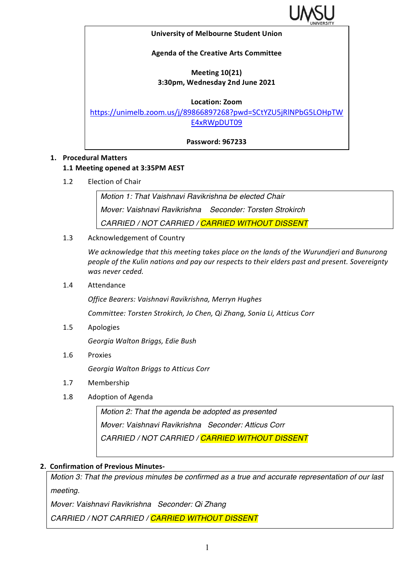

### **University of Melbourne Student Union**

### **Agenda of the Creative Arts Committee**

# **Meeting 10(21) 3:30pm, Wednesday 2nd June 2021**

### **Location: Zoom**

https://unimelb.zoom.us/j/89866897268?pwd=SCtYZU5jRlNPbG5LOHpTW E4xRWpDUT09

**Password: 967233**

### **1. Procedural Matters**

### **1.1 Meeting opened at 3:35PM AEST**

1.2 Election of Chair

*Motion 1: That Vaishnavi Ravikrishna be elected Chair Mover: Vaishnavi Ravikrishna Seconder: Torsten Strokirch CARRIED / NOT CARRIED / CARRIED WITHOUT DISSENT*

1.3 Acknowledgement of Country

We acknowledge that this meeting takes place on the lands of the Wurundjeri and Bunurong people of the Kulin nations and pay our respects to their elders past and present. Sovereignty was never ceded.

1.4 Attendance

*Office Bearers: Vaishnavi Ravikrishna, Merryn Hughes*

*Committee: Torsten Strokirch, Jo Chen, Qi Zhang, Sonia Li, Atticus Corr*

1.5 Apologies

*Georgia Walton Briggs, Edie Bush*

1.6 Proxies

*Georgia Walton Briggs to Atticus Corr*

- 1.7 Membership
- 1.8 Adoption of Agenda

*Motion 2: That the agenda be adopted as presented Mover: Vaishnavi Ravikrishna Seconder: Atticus Corr CARRIED / NOT CARRIED / CARRIED WITHOUT DISSENT*

### **2. Confirmation of Previous Minutes-**

*Motion 3: That the previous minutes be confirmed as a true and accurate representation of our last meeting.*

*Mover: Vaishnavi Ravikrishna Seconder: Qi Zhang*

*CARRIED / NOT CARRIED / CARRIED WITHOUT DISSENT*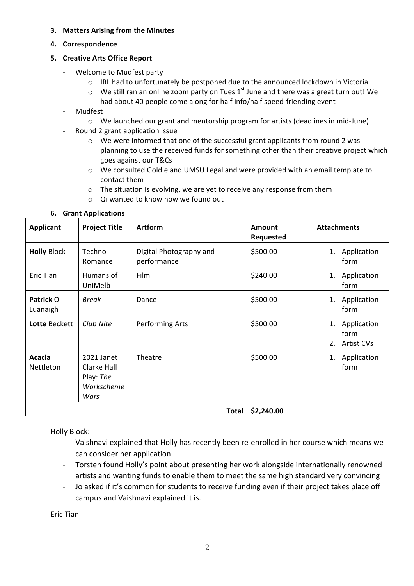### **3. Matters Arising from the Minutes**

**4. Correspondence**

## **5. Creative Arts Office Report**

- Welcome to Mudfest party
	- $\circ$  IRL had to unfortunately be postponed due to the announced lockdown in Victoria
	- $\circ$  We still ran an online zoom party on Tues 1<sup>st</sup> June and there was a great turn out! We
		- had about 40 people come along for half info/half speed-friending event
- **Mudfest** 
	- $\circ$  We launched our grant and mentorship program for artists (deadlines in mid-June)
	- Round 2 grant application issue
		- $\circ$  We were informed that one of the successful grant applicants from round 2 was planning to use the received funds for something other than their creative project which goes against our T&Cs
		- $\circ$  We consulted Goldie and UMSU Legal and were provided with an email template to contact them
		- $\circ$  The situation is evolving, we are yet to receive any response from them
		- $\circ$  Qi wanted to know how we found out

| <b>Applicant</b>       | <b>Project Title</b>                                         | <b>Artform</b>                         | <b>Amount</b><br><b>Requested</b> | <b>Attachments</b>                            |
|------------------------|--------------------------------------------------------------|----------------------------------------|-----------------------------------|-----------------------------------------------|
| <b>Holly Block</b>     | Techno-<br>Romance                                           | Digital Photography and<br>performance | \$500.00                          | Application<br>1.<br>form                     |
| <b>Eric Tian</b>       | Humans of<br>UniMelb                                         | Film                                   | \$240.00                          | Application<br>1.<br>form                     |
| Patrick O-<br>Luanaigh | <b>Break</b>                                                 | Dance                                  | \$500.00                          | Application<br>1.<br>form                     |
| Lotte Beckett          | Club Nite                                                    | <b>Performing Arts</b>                 | \$500.00                          | Application<br>1.<br>form<br>Artist CVs<br>2. |
| Acacia<br>Nettleton    | 2021 Janet<br>Clarke Hall<br>Play: The<br>Workscheme<br>Wars | Theatre                                | \$500.00                          | Application<br>1.<br>form                     |
|                        |                                                              | Total                                  | \$2,240.00                        |                                               |

# **6. Grant Applications**

Holly Block:

- Vaishnavi explained that Holly has recently been re-enrolled in her course which means we can consider her application
- Torsten found Holly's point about presenting her work alongside internationally renowned artists and wanting funds to enable them to meet the same high standard very convincing
- Jo asked if it's common for students to receive funding even if their project takes place off campus and Vaishnavi explained it is.

Eric Tian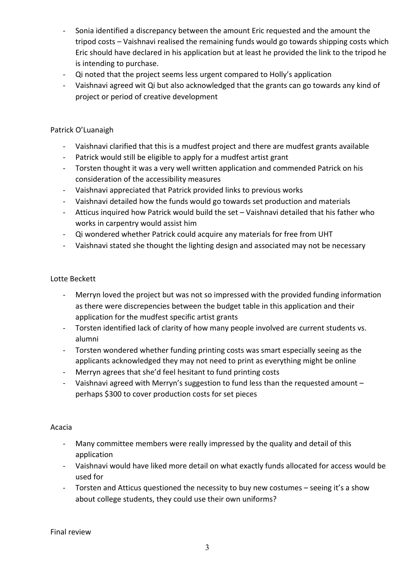- Sonia identified a discrepancy between the amount Eric requested and the amount the tripod costs - Vaishnavi realised the remaining funds would go towards shipping costs which Eric should have declared in his application but at least he provided the link to the tripod he is intending to purchase.
- Qi noted that the project seems less urgent compared to Holly's application
- Vaishnavi agreed wit Qi but also acknowledged that the grants can go towards any kind of project or period of creative development

# Patrick O'Luanaigh

- Vaishnavi clarified that this is a mudfest project and there are mudfest grants available
- Patrick would still be eligible to apply for a mudfest artist grant
- Torsten thought it was a very well written application and commended Patrick on his consideration of the accessibility measures
- Vaishnavi appreciated that Patrick provided links to previous works
- Vaishnavi detailed how the funds would go towards set production and materials
- Atticus inquired how Patrick would build the set Vaishnavi detailed that his father who works in carpentry would assist him
- Qi wondered whether Patrick could acquire any materials for free from UHT
- Vaishnavi stated she thought the lighting design and associated may not be necessary

# Lotte Beckett

- Merryn loved the project but was not so impressed with the provided funding information as there were discrepencies between the budget table in this application and their application for the mudfest specific artist grants
- Torsten identified lack of clarity of how many people involved are current students vs. alumni
- Torsten wondered whether funding printing costs was smart especially seeing as the applicants acknowledged they may not need to print as everything might be online
- Merryn agrees that she'd feel hesitant to fund printing costs
- Vaishnavi agreed with Merryn's suggestion to fund less than the requested amount perhaps \$300 to cover production costs for set pieces

### Acacia

- Many committee members were really impressed by the quality and detail of this application
- Vaishnavi would have liked more detail on what exactly funds allocated for access would be used for
- Torsten and Atticus questioned the necessity to buy new costumes seeing it's a show about college students, they could use their own uniforms?

Final review